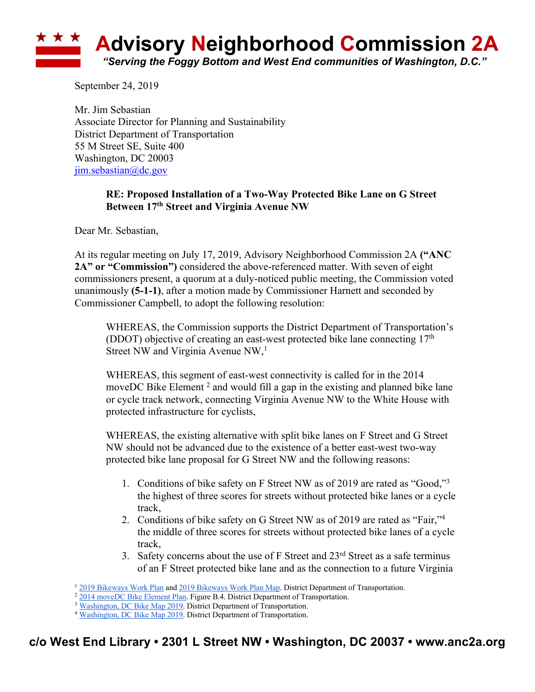

September 24, 2019

Mr. Jim Sebastian Associate Director for Planning and Sustainability District Department of Transportation 55 M Street SE, Suite 400 Washington, DC 20003 jim.sebastian@dc.gov

## **RE: Proposed Installation of a Two-Way Protected Bike Lane on G Street Between 17th Street and Virginia Avenue NW**

Dear Mr. Sebastian,

At its regular meeting on July 17, 2019, Advisory Neighborhood Commission 2A **("ANC 2A" or "Commission")** considered the above-referenced matter. With seven of eight commissioners present, a quorum at a duly-noticed public meeting, the Commission voted unanimously **(5-1-1)**, after a motion made by Commissioner Harnett and seconded by Commissioner Campbell, to adopt the following resolution:

WHEREAS, the Commission supports the District Department of Transportation's (DDOT) objective of creating an east-west protected bike lane connecting  $17<sup>th</sup>$ Street NW and Virginia Avenue NW,<sup>1</sup>

WHEREAS, this segment of east-west connectivity is called for in the 2014 moveDC Bike Element<sup>2</sup> and would fill a gap in the existing and planned bike lane or cycle track network, connecting Virginia Avenue NW to the White House with protected infrastructure for cyclists,

WHEREAS, the existing alternative with split bike lanes on F Street and G Street NW should not be advanced due to the existence of a better east-west two-way protected bike lane proposal for G Street NW and the following reasons:

- 1. Conditions of bike safety on F Street NW as of 2019 are rated as "Good,"3 the highest of three scores for streets without protected bike lanes or a cycle track,
- 2. Conditions of bike safety on G Street NW as of 2019 are rated as "Fair,"4 the middle of three scores for streets without protected bike lanes of a cycle track,
- 3. Safety concerns about the use of  $F$  Street and  $23<sup>rd</sup>$  Street as a safe terminus of an F Street protected bike lane and as the connection to a future Virginia

<sup>1</sup> 2019 Bikeways Work Plan and 2019 Bikeways Work Plan Map. District Department of Transportation.

<sup>&</sup>lt;sup>2</sup> 2014 moveDC Bike Element Plan. Figure B.4. District Department of Transportation.

<sup>&</sup>lt;sup>3</sup> Washington, DC Bike Map 2019. District Department of Transportation.

<sup>&</sup>lt;sup>4</sup> Washington, DC Bike Map 2019. District Department of Transportation.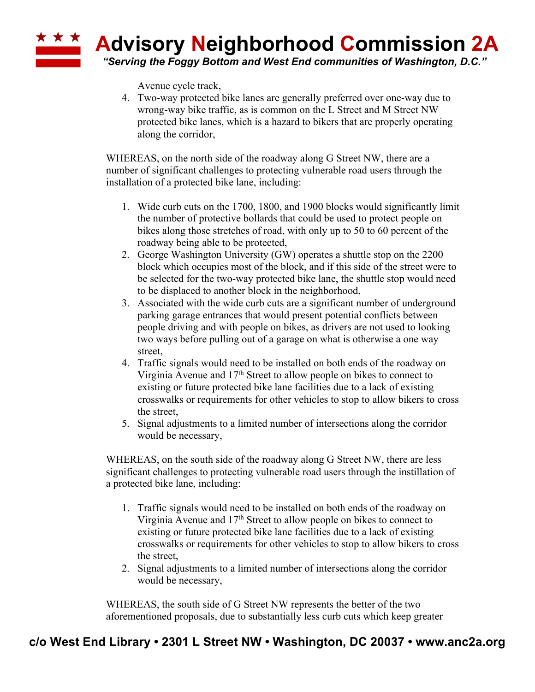

Avenue cycle track,

4. Two-way protected bike lanes are generally preferred over one-way due to wrong-way bike traffic, as is common on the L Street and M Street NW protected bike lanes, which is a hazard to bikers that are properly operating along the corridor,

WHEREAS, on the north side of the roadway along G Street NW, there are a number of significant challenges to protecting vulnerable road users through the installation of a protected bike lane, including:

- 1. Wide curb cuts on the 1700, 1800, and 1900 blocks would significantly limit the number of protective bollards that could be used to protect people on bikes along those stretches of road, with only up to 50 to 60 percent of the roadway being able to be protected,
- 2. George Washington University (GW) operates a shuttle stop on the 2200 block which occupies most of the block, and if this side of the street were to be selected for the two-way protected bike lane, the shuttle stop would need to be displaced to another block in the neighborhood,
- 3. Associated with the wide curb cuts are a significant number of underground parking garage entrances that would present potential conflicts between people driving and with people on bikes, as drivers are not used to looking two ways before pulling out of a garage on what is otherwise a one way street,
- 4. Traffic signals would need to be installed on both ends of the roadway on Virginia Avenue and  $17<sup>th</sup>$  Street to allow people on bikes to connect to existing or future protected bike lane facilities due to a lack of existing crosswalks or requirements for other vehicles to stop to allow bikers to cross the street,
- 5. Signal adjustments to a limited number of intersections along the corridor would be necessary,

WHEREAS, on the south side of the roadway along G Street NW, there are less significant challenges to protecting vulnerable road users through the instillation of a protected bike lane, including:

- 1. Traffic signals would need to be installed on both ends of the roadway on Virginia Avenue and  $17<sup>th</sup>$  Street to allow people on bikes to connect to existing or future protected bike lane facilities due to a lack of existing crosswalks or requirements for other vehicles to stop to allow bikers to cross the street,
- 2. Signal adjustments to a limited number of intersections along the corridor would be necessary,

WHEREAS, the south side of G Street NW represents the better of the two aforementioned proposals, due to substantially less curb cuts which keep greater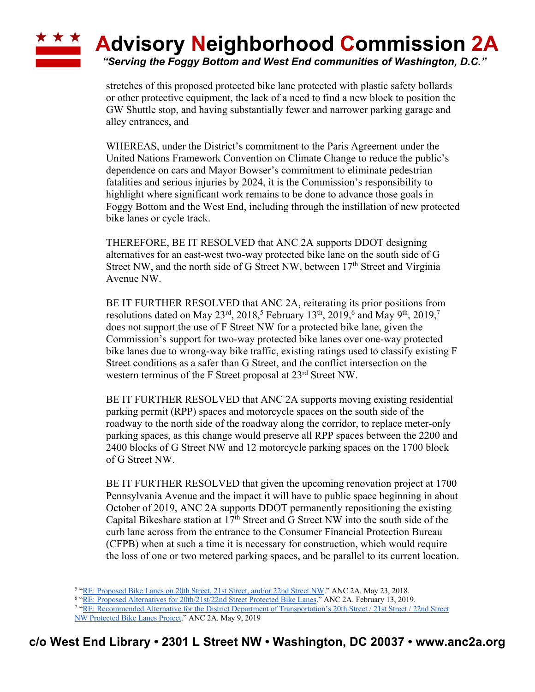## ★ ★ ★ **Advisory Neighborhood Commission 2A** *"Serving the Foggy Bottom and West End communities of Washington, D.C."*

stretches of this proposed protected bike lane protected with plastic safety bollards or other protective equipment, the lack of a need to find a new block to position the GW Shuttle stop, and having substantially fewer and narrower parking garage and alley entrances, and

WHEREAS, under the District's commitment to the Paris Agreement under the United Nations Framework Convention on Climate Change to reduce the public's dependence on cars and Mayor Bowser's commitment to eliminate pedestrian fatalities and serious injuries by 2024, it is the Commission's responsibility to highlight where significant work remains to be done to advance those goals in Foggy Bottom and the West End, including through the instillation of new protected bike lanes or cycle track.

THEREFORE, BE IT RESOLVED that ANC 2A supports DDOT designing alternatives for an east-west two-way protected bike lane on the south side of G Street NW, and the north side of G Street NW, between 17<sup>th</sup> Street and Virginia Avenue NW.

BE IT FURTHER RESOLVED that ANC 2A, reiterating its prior positions from resolutions dated on May 23<sup>rd</sup>, 2018,<sup>5</sup> February 13<sup>th</sup>, 2019,<sup>6</sup> and May 9<sup>th</sup>, 2019,<sup>7</sup> does not support the use of F Street NW for a protected bike lane, given the Commission's support for two-way protected bike lanes over one-way protected bike lanes due to wrong-way bike traffic, existing ratings used to classify existing F Street conditions as a safer than G Street, and the conflict intersection on the western terminus of the F Street proposal at 23rd Street NW.

BE IT FURTHER RESOLVED that ANC 2A supports moving existing residential parking permit (RPP) spaces and motorcycle spaces on the south side of the roadway to the north side of the roadway along the corridor, to replace meter-only parking spaces, as this change would preserve all RPP spaces between the 2200 and 2400 blocks of G Street NW and 12 motorcycle parking spaces on the 1700 block of G Street NW.

BE IT FURTHER RESOLVED that given the upcoming renovation project at 1700 Pennsylvania Avenue and the impact it will have to public space beginning in about October of 2019, ANC 2A supports DDOT permanently repositioning the existing Capital Bikeshare station at  $17<sup>th</sup>$  Street and G Street NW into the south side of the curb lane across from the entrance to the Consumer Financial Protection Bureau (CFPB) when at such a time it is necessary for construction, which would require the loss of one or two metered parking spaces, and be parallel to its current location.

<sup>6</sup> "RE: Proposed Alternatives for 20th/21st/22nd Street Protected Bike Lanes." ANC 2A. February 13, 2019.

<sup>7</sup> "RE: Recommended Alternative for the District Department of Transportation's 20th Street / 21st Street / 22nd Street NW Protected Bike Lanes Project." ANC 2A. May 9, 2019

<sup>&</sup>lt;sup>5</sup> "RE: Proposed Bike Lanes on 20th Street, 21st Street, and/or 22nd Street NW." ANC 2A. May 23, 2018.